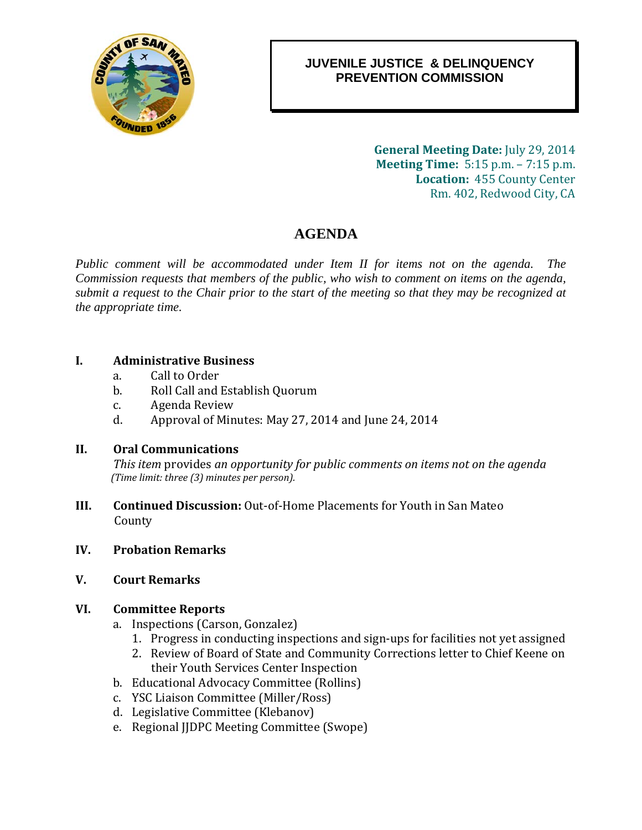

# 0B**JUVENILE JUSTICE & DELINQUENCY PREVENTION COMMISSION**

**General Meeting Date:** July 29, 2014 **Meeting Time:** 5:15 p.m. – 7:15 p.m. Location: 455 County Center Rm. 402, Redwood City, CA

# 4B**AGENDA**

*Public comment will be accommodated under Item II for items not on the agenda. The Commission requests that members of the public, who wish to comment on items on the agenda, submit a request to the Chair prior to the start of the meeting so that they may be recognized at the appropriate time.* 

### **I. Administrative Business**

- a. Call to Order
- b. Roll Call and Establish Quorum
- c. Agenda Review
- d. Approval of Minutes: May 27, 2014 and June 24, 2014

#### **II. Oral Communications**

*This item* provides *an opportunity for public comments on items not on the agenda (Time limit: three (3) minutes per person).*

- **III. Continued Discussion:** Out-of-Home Placements for Youth in San Mateo County
- **IV. Probation Remarks**
- **V. Court Remarks**

#### **VI. Committee Reports**

- a. Inspections (Carson, Gonzalez)
	- 1. Progress in conducting inspections and sign-ups for facilities not yet assigned
	- 2. Review of Board of State and Community Corrections letter to Chief Keene on their Youth Services Center Inspection
- b. Educational Advocacy Committee (Rollins)
- c. YSC Liaison Committee (Miller/Ross)
- d. Legislative Committee (Klebanov)
- e. Regional IIDPC Meeting Committee (Swope)